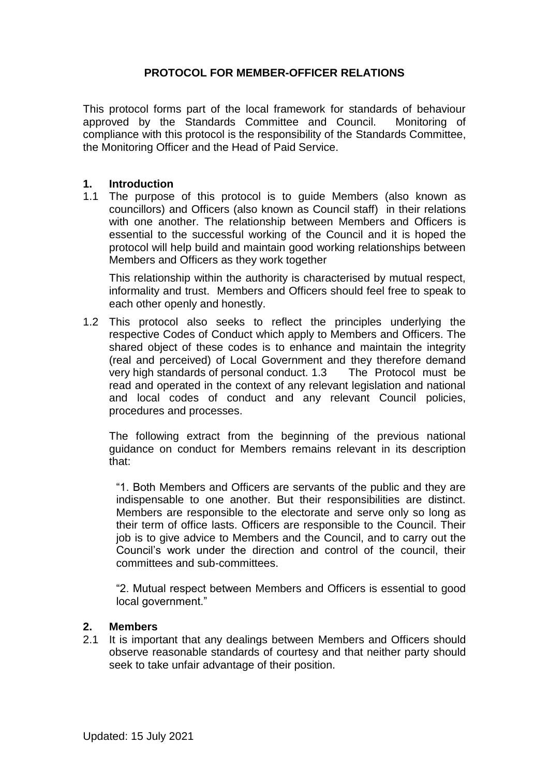## **PROTOCOL FOR MEMBER-OFFICER RELATIONS**

This protocol forms part of the local framework for standards of behaviour approved by the Standards Committee and Council. Monitoring of compliance with this protocol is the responsibility of the Standards Committee, the Monitoring Officer and the Head of Paid Service.

#### **1. Introduction**

1.1 The purpose of this protocol is to guide Members (also known as councillors) and Officers (also known as Council staff) in their relations with one another. The relationship between Members and Officers is essential to the successful working of the Council and it is hoped the protocol will help build and maintain good working relationships between Members and Officers as they work together

This relationship within the authority is characterised by mutual respect, informality and trust. Members and Officers should feel free to speak to each other openly and honestly.

1.2 This protocol also seeks to reflect the principles underlying the respective Codes of Conduct which apply to Members and Officers. The shared object of these codes is to enhance and maintain the integrity (real and perceived) of Local Government and they therefore demand very high standards of personal conduct. 1.3 The Protocol must be read and operated in the context of any relevant legislation and national and local codes of conduct and any relevant Council policies, procedures and processes.

The following extract from the beginning of the previous national guidance on conduct for Members remains relevant in its description that:

"1. Both Members and Officers are servants of the public and they are indispensable to one another. But their responsibilities are distinct. Members are responsible to the electorate and serve only so long as their term of office lasts. Officers are responsible to the Council. Their job is to give advice to Members and the Council, and to carry out the Council's work under the direction and control of the council, their committees and sub-committees.

"2. Mutual respect between Members and Officers is essential to good local government."

#### **2. Members**

2.1 It is important that any dealings between Members and Officers should observe reasonable standards of courtesy and that neither party should seek to take unfair advantage of their position.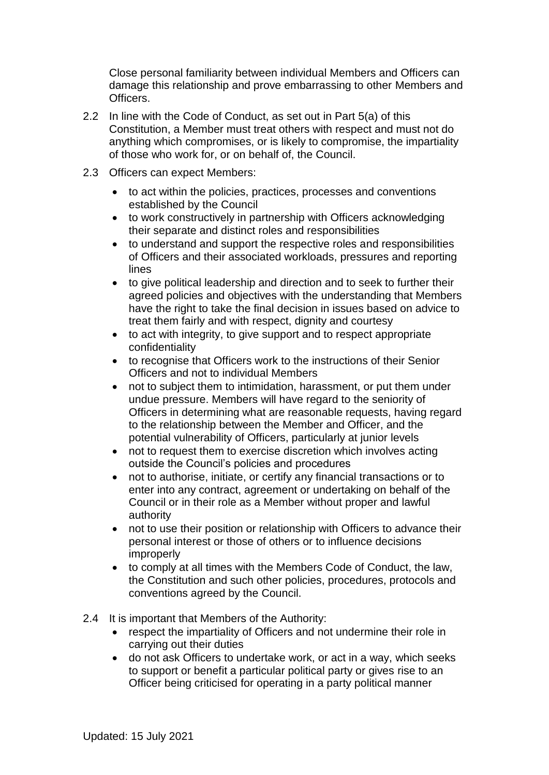Close personal familiarity between individual Members and Officers can damage this relationship and prove embarrassing to other Members and Officers.

- 2.2 In line with the Code of Conduct, as set out in Part 5(a) of this Constitution, a Member must treat others with respect and must not do anything which compromises, or is likely to compromise, the impartiality of those who work for, or on behalf of, the Council.
- 2.3 Officers can expect Members:
	- to act within the policies, practices, processes and conventions established by the Council
	- to work constructively in partnership with Officers acknowledging their separate and distinct roles and responsibilities
	- to understand and support the respective roles and responsibilities of Officers and their associated workloads, pressures and reporting lines
	- to give political leadership and direction and to seek to further their agreed policies and objectives with the understanding that Members have the right to take the final decision in issues based on advice to treat them fairly and with respect, dignity and courtesy
	- to act with integrity, to give support and to respect appropriate confidentiality
	- to recognise that Officers work to the instructions of their Senior Officers and not to individual Members
	- not to subject them to intimidation, harassment, or put them under undue pressure. Members will have regard to the seniority of Officers in determining what are reasonable requests, having regard to the relationship between the Member and Officer, and the potential vulnerability of Officers, particularly at junior levels
	- not to request them to exercise discretion which involves acting outside the Council's policies and procedures
	- not to authorise, initiate, or certify any financial transactions or to enter into any contract, agreement or undertaking on behalf of the Council or in their role as a Member without proper and lawful authority
	- not to use their position or relationship with Officers to advance their personal interest or those of others or to influence decisions improperly
	- to comply at all times with the Members Code of Conduct, the law, the Constitution and such other policies, procedures, protocols and conventions agreed by the Council.
- 2.4 It is important that Members of the Authority:
	- respect the impartiality of Officers and not undermine their role in carrying out their duties
	- do not ask Officers to undertake work, or act in a way, which seeks to support or benefit a particular political party or gives rise to an Officer being criticised for operating in a party political manner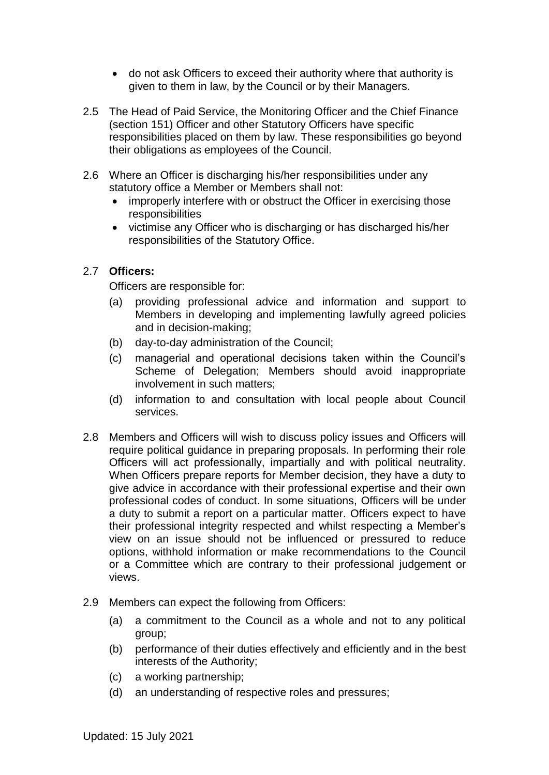- do not ask Officers to exceed their authority where that authority is given to them in law, by the Council or by their Managers.
- 2.5 The Head of Paid Service, the Monitoring Officer and the Chief Finance (section 151) Officer and other Statutory Officers have specific responsibilities placed on them by law. These responsibilities go beyond their obligations as employees of the Council.
- 2.6 Where an Officer is discharging his/her responsibilities under any statutory office a Member or Members shall not:
	- improperly interfere with or obstruct the Officer in exercising those responsibilities
	- victimise any Officer who is discharging or has discharged his/her responsibilities of the Statutory Office.

# 2.7 **Officers:**

Officers are responsible for:

- (a) providing professional advice and information and support to Members in developing and implementing lawfully agreed policies and in decision-making;
- (b) day-to-day administration of the Council;
- (c) managerial and operational decisions taken within the Council's Scheme of Delegation; Members should avoid inappropriate involvement in such matters;
- (d) information to and consultation with local people about Council services.
- 2.8 Members and Officers will wish to discuss policy issues and Officers will require political guidance in preparing proposals. In performing their role Officers will act professionally, impartially and with political neutrality. When Officers prepare reports for Member decision, they have a duty to give advice in accordance with their professional expertise and their own professional codes of conduct. In some situations, Officers will be under a duty to submit a report on a particular matter. Officers expect to have their professional integrity respected and whilst respecting a Member's view on an issue should not be influenced or pressured to reduce options, withhold information or make recommendations to the Council or a Committee which are contrary to their professional judgement or views.
- 2.9 Members can expect the following from Officers:
	- (a) a commitment to the Council as a whole and not to any political group;
	- (b) performance of their duties effectively and efficiently and in the best interests of the Authority;
	- (c) a working partnership;
	- (d) an understanding of respective roles and pressures;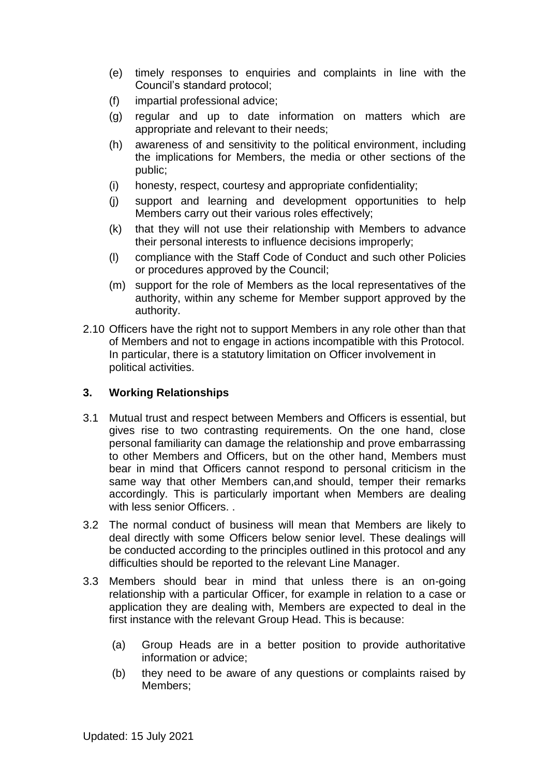- (e) timely responses to enquiries and complaints in line with the Council's standard protocol;
- (f) impartial professional advice;
- (g) regular and up to date information on matters which are appropriate and relevant to their needs;
- (h) awareness of and sensitivity to the political environment, including the implications for Members, the media or other sections of the public;
- (i) honesty, respect, courtesy and appropriate confidentiality;
- (j) support and learning and development opportunities to help Members carry out their various roles effectively;
- (k) that they will not use their relationship with Members to advance their personal interests to influence decisions improperly;
- (l) compliance with the Staff Code of Conduct and such other Policies or procedures approved by the Council;
- (m) support for the role of Members as the local representatives of the authority, within any scheme for Member support approved by the authority.
- 2.10 Officers have the right not to support Members in any role other than that of Members and not to engage in actions incompatible with this Protocol. In particular, there is a statutory limitation on Officer involvement in political activities.

## **3. Working Relationships**

- 3.1 Mutual trust and respect between Members and Officers is essential, but gives rise to two contrasting requirements. On the one hand, close personal familiarity can damage the relationship and prove embarrassing to other Members and Officers, but on the other hand, Members must bear in mind that Officers cannot respond to personal criticism in the same way that other Members can,and should, temper their remarks accordingly. This is particularly important when Members are dealing with less senior Officers. .
- 3.2 The normal conduct of business will mean that Members are likely to deal directly with some Officers below senior level. These dealings will be conducted according to the principles outlined in this protocol and any difficulties should be reported to the relevant Line Manager.
- 3.3 Members should bear in mind that unless there is an on-going relationship with a particular Officer, for example in relation to a case or application they are dealing with, Members are expected to deal in the first instance with the relevant Group Head. This is because:
	- (a) Group Heads are in a better position to provide authoritative information or advice;
	- (b) they need to be aware of any questions or complaints raised by Members;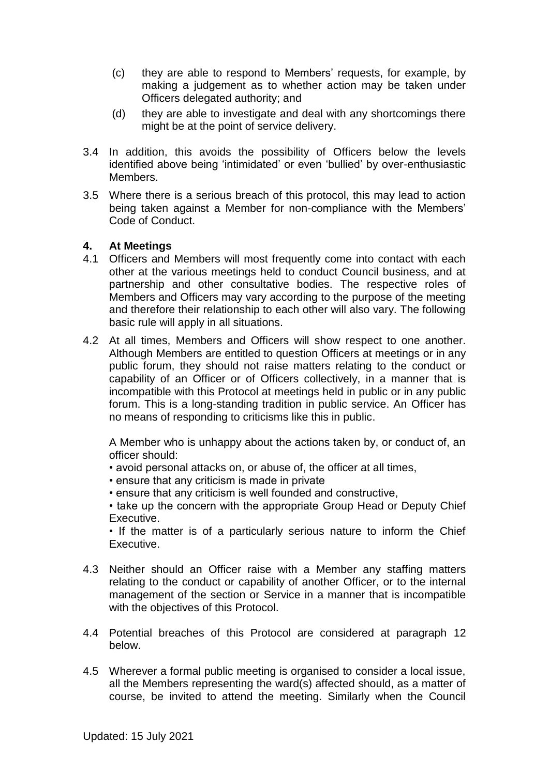- (c) they are able to respond to Members' requests, for example, by making a judgement as to whether action may be taken under Officers delegated authority; and
- (d) they are able to investigate and deal with any shortcomings there might be at the point of service delivery.
- 3.4 In addition, this avoids the possibility of Officers below the levels identified above being 'intimidated' or even 'bullied' by over-enthusiastic Members.
- 3.5 Where there is a serious breach of this protocol, this may lead to action being taken against a Member for non-compliance with the Members' Code of Conduct.

## **4. At Meetings**

- 4.1 Officers and Members will most frequently come into contact with each other at the various meetings held to conduct Council business, and at partnership and other consultative bodies. The respective roles of Members and Officers may vary according to the purpose of the meeting and therefore their relationship to each other will also vary. The following basic rule will apply in all situations.
- 4.2 At all times, Members and Officers will show respect to one another. Although Members are entitled to question Officers at meetings or in any public forum, they should not raise matters relating to the conduct or capability of an Officer or of Officers collectively, in a manner that is incompatible with this Protocol at meetings held in public or in any public forum. This is a long-standing tradition in public service. An Officer has no means of responding to criticisms like this in public.

A Member who is unhappy about the actions taken by, or conduct of, an officer should:

- avoid personal attacks on, or abuse of, the officer at all times,
- ensure that any criticism is made in private
- ensure that any criticism is well founded and constructive,

• take up the concern with the appropriate Group Head or Deputy Chief Executive.

• If the matter is of a particularly serious nature to inform the Chief Executive.

- 4.3 Neither should an Officer raise with a Member any staffing matters relating to the conduct or capability of another Officer, or to the internal management of the section or Service in a manner that is incompatible with the objectives of this Protocol.
- 4.4 Potential breaches of this Protocol are considered at paragraph 12 below.
- 4.5 Wherever a formal public meeting is organised to consider a local issue, all the Members representing the ward(s) affected should, as a matter of course, be invited to attend the meeting. Similarly when the Council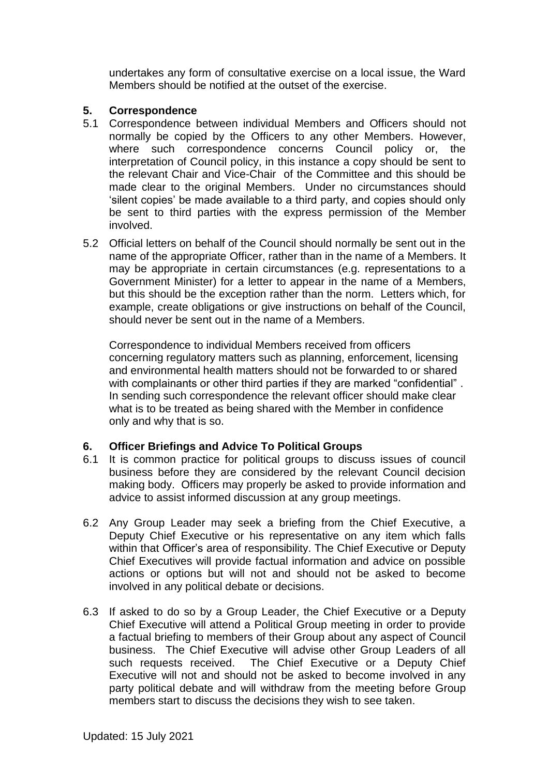undertakes any form of consultative exercise on a local issue, the Ward Members should be notified at the outset of the exercise.

## **5. Correspondence**

- 5.1 Correspondence between individual Members and Officers should not normally be copied by the Officers to any other Members. However, where such correspondence concerns Council policy or, the interpretation of Council policy, in this instance a copy should be sent to the relevant Chair and Vice-Chair of the Committee and this should be made clear to the original Members. Under no circumstances should 'silent copies' be made available to a third party, and copies should only be sent to third parties with the express permission of the Member involved.
- 5.2 Official letters on behalf of the Council should normally be sent out in the name of the appropriate Officer, rather than in the name of a Members. It may be appropriate in certain circumstances (e.g. representations to a Government Minister) for a letter to appear in the name of a Members, but this should be the exception rather than the norm. Letters which, for example, create obligations or give instructions on behalf of the Council, should never be sent out in the name of a Members.

Correspondence to individual Members received from officers concerning regulatory matters such as planning, enforcement, licensing and environmental health matters should not be forwarded to or shared with complainants or other third parties if they are marked "confidential". In sending such correspondence the relevant officer should make clear what is to be treated as being shared with the Member in confidence only and why that is so.

# **6. Officer Briefings and Advice To Political Groups**

- 6.1 It is common practice for political groups to discuss issues of council business before they are considered by the relevant Council decision making body. Officers may properly be asked to provide information and advice to assist informed discussion at any group meetings.
- 6.2 Any Group Leader may seek a briefing from the Chief Executive, a Deputy Chief Executive or his representative on any item which falls within that Officer's area of responsibility. The Chief Executive or Deputy Chief Executives will provide factual information and advice on possible actions or options but will not and should not be asked to become involved in any political debate or decisions.
- 6.3 If asked to do so by a Group Leader, the Chief Executive or a Deputy Chief Executive will attend a Political Group meeting in order to provide a factual briefing to members of their Group about any aspect of Council business. The Chief Executive will advise other Group Leaders of all such requests received. The Chief Executive or a Deputy Chief Executive will not and should not be asked to become involved in any party political debate and will withdraw from the meeting before Group members start to discuss the decisions they wish to see taken.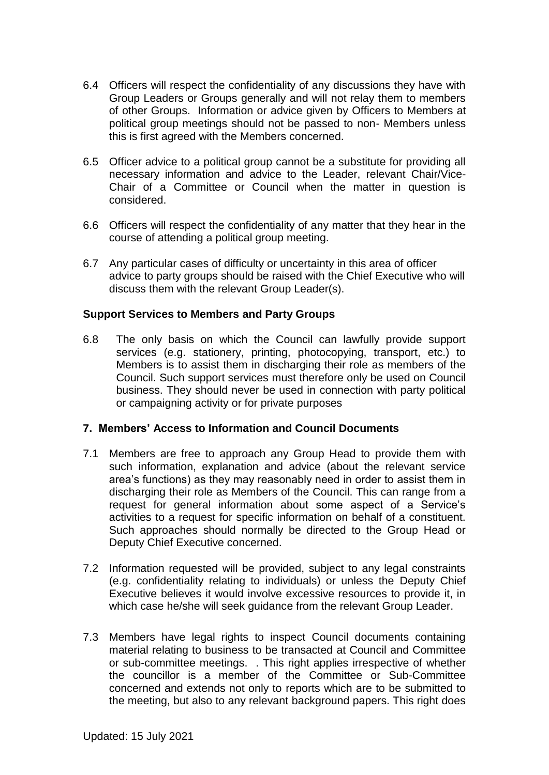- 6.4 Officers will respect the confidentiality of any discussions they have with Group Leaders or Groups generally and will not relay them to members of other Groups. Information or advice given by Officers to Members at political group meetings should not be passed to non- Members unless this is first agreed with the Members concerned.
- 6.5 Officer advice to a political group cannot be a substitute for providing all necessary information and advice to the Leader, relevant Chair/Vice-Chair of a Committee or Council when the matter in question is considered.
- 6.6 Officers will respect the confidentiality of any matter that they hear in the course of attending a political group meeting.
- 6.7 Any particular cases of difficulty or uncertainty in this area of officer advice to party groups should be raised with the Chief Executive who will discuss them with the relevant Group Leader(s).

#### **Support Services to Members and Party Groups**

6.8 The only basis on which the Council can lawfully provide support services (e.g. stationery, printing, photocopying, transport, etc.) to Members is to assist them in discharging their role as members of the Council. Such support services must therefore only be used on Council business. They should never be used in connection with party political or campaigning activity or for private purposes

#### **7. Members' Access to Information and Council Documents**

- 7.1 Members are free to approach any Group Head to provide them with such information, explanation and advice (about the relevant service area's functions) as they may reasonably need in order to assist them in discharging their role as Members of the Council. This can range from a request for general information about some aspect of a Service's activities to a request for specific information on behalf of a constituent. Such approaches should normally be directed to the Group Head or Deputy Chief Executive concerned.
- 7.2 Information requested will be provided, subject to any legal constraints (e.g. confidentiality relating to individuals) or unless the Deputy Chief Executive believes it would involve excessive resources to provide it, in which case he/she will seek guidance from the relevant Group Leader.
- 7.3 Members have legal rights to inspect Council documents containing material relating to business to be transacted at Council and Committee or sub-committee meetings. . This right applies irrespective of whether the councillor is a member of the Committee or Sub-Committee concerned and extends not only to reports which are to be submitted to the meeting, but also to any relevant background papers. This right does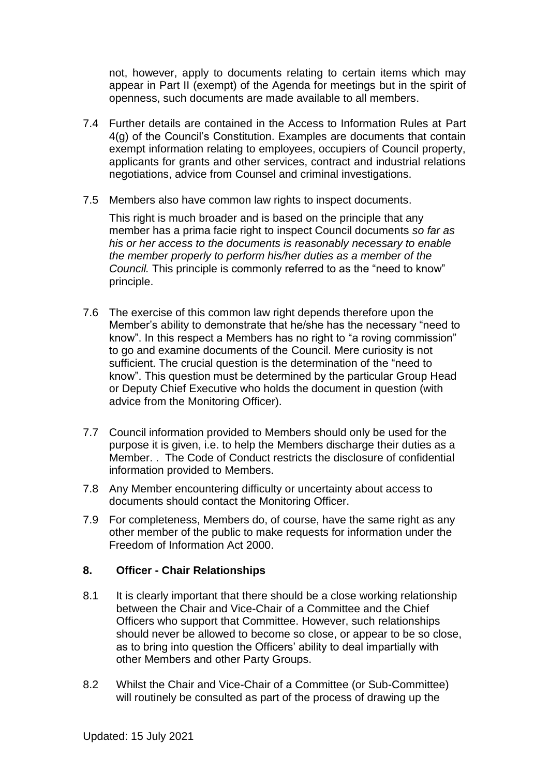not, however, apply to documents relating to certain items which may appear in Part II (exempt) of the Agenda for meetings but in the spirit of openness, such documents are made available to all members.

- 7.4 Further details are contained in the Access to Information Rules at Part 4(g) of the Council's Constitution. Examples are documents that contain exempt information relating to employees, occupiers of Council property, applicants for grants and other services, contract and industrial relations negotiations, advice from Counsel and criminal investigations.
- 7.5 Members also have common law rights to inspect documents.

This right is much broader and is based on the principle that any member has a prima facie right to inspect Council documents *so far as his or her access to the documents is reasonably necessary to enable the member properly to perform his/her duties as a member of the Council.* This principle is commonly referred to as the "need to know" principle.

- 7.6 The exercise of this common law right depends therefore upon the Member's ability to demonstrate that he/she has the necessary "need to know". In this respect a Members has no right to "a roving commission" to go and examine documents of the Council. Mere curiosity is not sufficient. The crucial question is the determination of the "need to know". This question must be determined by the particular Group Head or Deputy Chief Executive who holds the document in question (with advice from the Monitoring Officer).
- 7.7 Council information provided to Members should only be used for the purpose it is given, i.e. to help the Members discharge their duties as a Member. . The Code of Conduct restricts the disclosure of confidential information provided to Members.
- 7.8 Any Member encountering difficulty or uncertainty about access to documents should contact the Monitoring Officer.
- 7.9 For completeness, Members do, of course, have the same right as any other member of the public to make requests for information under the Freedom of Information Act 2000.

## **8. Officer - Chair Relationships**

- 8.1 It is clearly important that there should be a close working relationship between the Chair and Vice-Chair of a Committee and the Chief Officers who support that Committee. However, such relationships should never be allowed to become so close, or appear to be so close, as to bring into question the Officers' ability to deal impartially with other Members and other Party Groups.
- 8.2 Whilst the Chair and Vice-Chair of a Committee (or Sub-Committee) will routinely be consulted as part of the process of drawing up the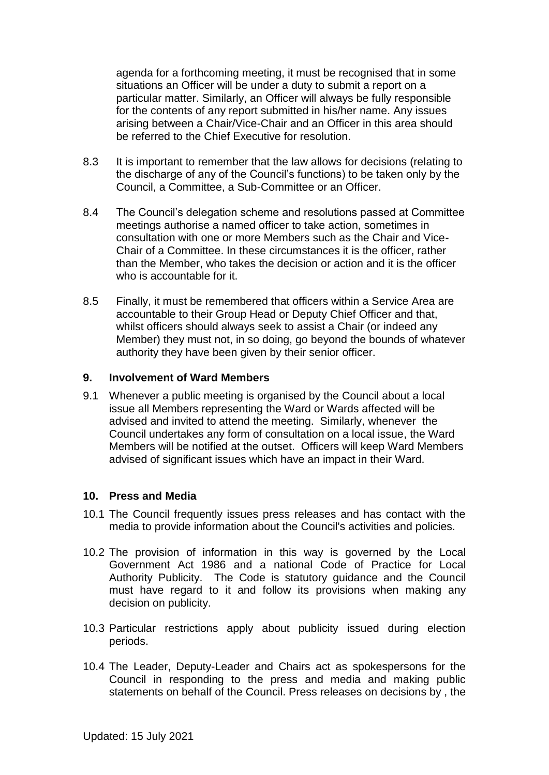agenda for a forthcoming meeting, it must be recognised that in some situations an Officer will be under a duty to submit a report on a particular matter. Similarly, an Officer will always be fully responsible for the contents of any report submitted in his/her name. Any issues arising between a Chair/Vice-Chair and an Officer in this area should be referred to the Chief Executive for resolution.

- 8.3 It is important to remember that the law allows for decisions (relating to the discharge of any of the Council's functions) to be taken only by the Council, a Committee, a Sub-Committee or an Officer.
- 8.4 The Council's delegation scheme and resolutions passed at Committee meetings authorise a named officer to take action, sometimes in consultation with one or more Members such as the Chair and Vice-Chair of a Committee. In these circumstances it is the officer, rather than the Member, who takes the decision or action and it is the officer who is accountable for it.
- 8.5 Finally, it must be remembered that officers within a Service Area are accountable to their Group Head or Deputy Chief Officer and that, whilst officers should always seek to assist a Chair (or indeed any Member) they must not, in so doing, go beyond the bounds of whatever authority they have been given by their senior officer.

#### **9. Involvement of Ward Members**

9.1 Whenever a public meeting is organised by the Council about a local issue all Members representing the Ward or Wards affected will be advised and invited to attend the meeting. Similarly, whenever the Council undertakes any form of consultation on a local issue, the Ward Members will be notified at the outset. Officers will keep Ward Members advised of significant issues which have an impact in their Ward.

## **10. Press and Media**

- 10.1 The Council frequently issues press releases and has contact with the media to provide information about the Council's activities and policies.
- 10.2 The provision of information in this way is governed by the Local Government Act 1986 and a national Code of Practice for Local Authority Publicity. The Code is statutory guidance and the Council must have regard to it and follow its provisions when making any decision on publicity.
- 10.3 Particular restrictions apply about publicity issued during election periods.
- 10.4 The Leader, Deputy-Leader and Chairs act as spokespersons for the Council in responding to the press and media and making public statements on behalf of the Council. Press releases on decisions by , the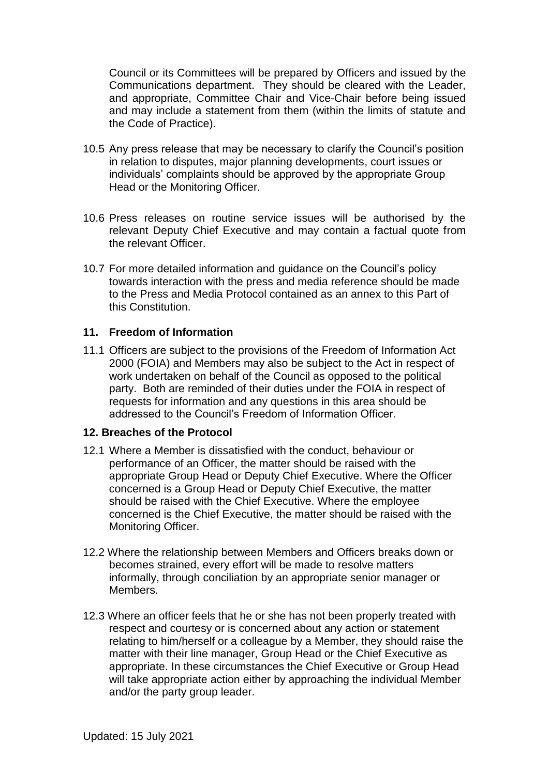Council or its Committees will be prepared by Officers and issued by the Communications department. They should be cleared with the Leader, and appropriate, Committee Chair and Vice-Chair before being issued and may include a statement from them (within the limits of statute and the Code of Practice).

- 10.5 Any press release that may be necessary to clarify the Council's position in relation to disputes, major planning developments, court issues or individuals' complaints should be approved by the appropriate Group Head or the Monitoring Officer.
- 10.6 Press releases on routine service issues will be authorised by the relevant Deputy Chief Executive and may contain a factual quote from the relevant Officer.
- 10.7 For more detailed information and guidance on the Council's policy towards interaction with the press and media reference should be made to the Press and Media Protocol contained as an annex to this Part of this Constitution.

## **11. Freedom of Information**

11.1 Officers are subject to the provisions of the Freedom of Information Act 2000 (FOIA) and Members may also be subject to the Act in respect of work undertaken on behalf of the Council as opposed to the political party. Both are reminded of their duties under the FOIA in respect of requests for information and any questions in this area should be addressed to the Council's Freedom of Information Officer.

## **12. Breaches of the Protocol**

- 12.1 Where a Member is dissatisfied with the conduct, behaviour or performance of an Officer, the matter should be raised with the appropriate Group Head or Deputy Chief Executive. Where the Officer concerned is a Group Head or Deputy Chief Executive, the matter should be raised with the Chief Executive. Where the employee concerned is the Chief Executive, the matter should be raised with the Monitoring Officer.
- 12.2 Where the relationship between Members and Officers breaks down or becomes strained, every effort will be made to resolve matters informally, through conciliation by an appropriate senior manager or Members.
- 12.3 Where an officer feels that he or she has not been properly treated with respect and courtesy or is concerned about any action or statement relating to him/herself or a colleague by a Member, they should raise the matter with their line manager, Group Head or the Chief Executive as appropriate. In these circumstances the Chief Executive or Group Head will take appropriate action either by approaching the individual Member and/or the party group leader.